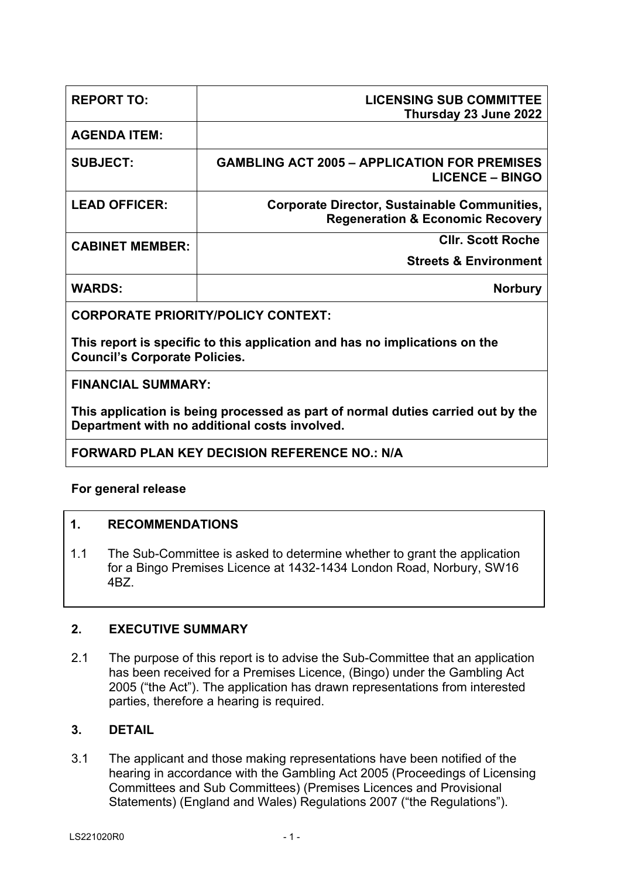| <b>REPORT TO:</b>      | <b>LICENSING SUB COMMITTEE</b><br>Thursday 23 June 2022                                            |
|------------------------|----------------------------------------------------------------------------------------------------|
| <b>AGENDA ITEM:</b>    |                                                                                                    |
| <b>SUBJECT:</b>        | <b>GAMBLING ACT 2005 - APPLICATION FOR PREMISES</b><br><b>LICENCE - BINGO</b>                      |
| <b>LEAD OFFICER:</b>   | <b>Corporate Director, Sustainable Communities,</b><br><b>Regeneration &amp; Economic Recovery</b> |
| <b>CABINET MEMBER:</b> | <b>CIIr. Scott Roche</b>                                                                           |
|                        | <b>Streets &amp; Environment</b>                                                                   |
| <b>WARDS:</b>          | <b>Norbury</b>                                                                                     |
|                        |                                                                                                    |

**CORPORATE PRIORITY/POLICY CONTEXT:**

**This report is specific to this application and has no implications on the Council's Corporate Policies.**

**FINANCIAL SUMMARY:**

**This application is being processed as part of normal duties carried out by the Department with no additional costs involved.**

# **FORWARD PLAN KEY DECISION REFERENCE NO.: N/A**

# **For general release**

# **1. RECOMMENDATIONS**

1.1 The Sub-Committee is asked to determine whether to grant the application for a Bingo Premises Licence at 1432-1434 London Road, Norbury, SW16 4BZ.

# **2. EXECUTIVE SUMMARY**

2.1 The purpose of this report is to advise the Sub-Committee that an application has been received for a Premises Licence, (Bingo) under the Gambling Act 2005 ("the Act"). The application has drawn representations from interested parties, therefore a hearing is required.

# **3. DETAIL**

3.1 The applicant and those making representations have been notified of the hearing in accordance with the Gambling Act 2005 (Proceedings of Licensing Committees and Sub Committees) (Premises Licences and Provisional Statements) (England and Wales) Regulations 2007 ("the Regulations").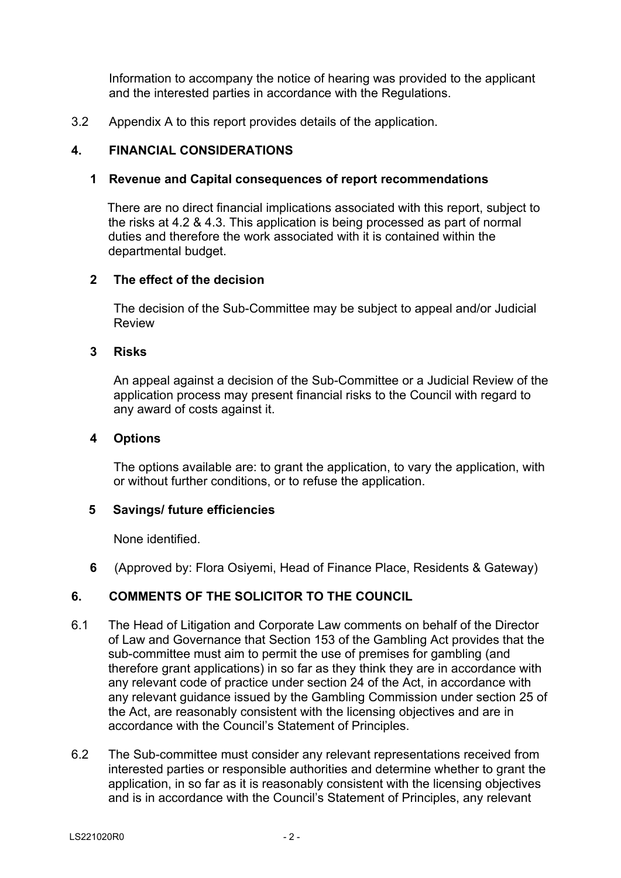Information to accompany the notice of hearing was provided to the applicant and the interested parties in accordance with the Regulations.

3.2 Appendix A to this report provides details of the application.

### **4. FINANCIAL CONSIDERATIONS**

#### **1 Revenue and Capital consequences of report recommendations**

 There are no direct financial implications associated with this report, subject to the risks at 4.2 & 4.3. This application is being processed as part of normal duties and therefore the work associated with it is contained within the departmental budget.

#### **2 The effect of the decision**

The decision of the Sub-Committee may be subject to appeal and/or Judicial Review

#### **3 Risks**

An appeal against a decision of the Sub-Committee or a Judicial Review of the application process may present financial risks to the Council with regard to any award of costs against it.

#### **4 Options**

The options available are: to grant the application, to vary the application, with or without further conditions, or to refuse the application.

#### **5 Savings/ future efficiencies**

None identified.

**6** (Approved by: Flora Osiyemi, Head of Finance Place, Residents & Gateway)

# **6. COMMENTS OF THE SOLICITOR TO THE COUNCIL**

- 6.1 The Head of Litigation and Corporate Law comments on behalf of the Director of Law and Governance that Section 153 of the Gambling Act provides that the sub-committee must aim to permit the use of premises for gambling (and therefore grant applications) in so far as they think they are in accordance with any relevant code of practice under section 24 of the Act, in accordance with any relevant guidance issued by the Gambling Commission under section 25 of the Act, are reasonably consistent with the licensing objectives and are in accordance with the Council's Statement of Principles.
- 6.2 The Sub-committee must consider any relevant representations received from interested parties or responsible authorities and determine whether to grant the application, in so far as it is reasonably consistent with the licensing objectives and is in accordance with the Council's Statement of Principles, any relevant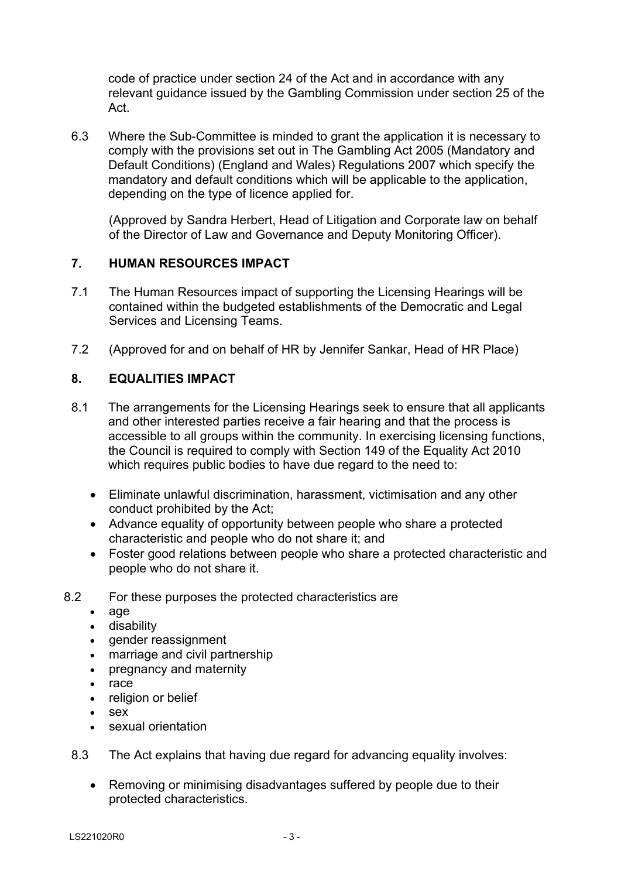code of practice under section 24 of the Act and in accordance with any relevant guidance issued by the Gambling Commission under section 25 of the Act.

6.3 Where the Sub-Committee is minded to grant the application it is necessary to comply with the provisions set out in The Gambling Act 2005 (Mandatory and Default Conditions) (England and Wales) Regulations 2007 which specify the mandatory and default conditions which will be applicable to the application, depending on the type of licence applied for.

(Approved by Sandra Herbert, Head of Litigation and Corporate law on behalf of the Director of Law and Governance and Deputy Monitoring Officer).

### **7. HUMAN RESOURCES IMPACT**

- 7.1 The Human Resources impact of supporting the Licensing Hearings will be contained within the budgeted establishments of the Democratic and Legal Services and Licensing Teams.
- 7.2 (Approved for and on behalf of HR by Jennifer Sankar, Head of HR Place)

# **8. EQUALITIES IMPACT**

- 8.1 The arrangements for the Licensing Hearings seek to ensure that all applicants and other interested parties receive a fair hearing and that the process is accessible to all groups within the community. In exercising licensing functions, the Council is required to comply with Section 149 of the Equality Act 2010 which requires public bodies to have due regard to the need to:
	- Eliminate unlawful discrimination, harassment, victimisation and any other conduct prohibited by the Act;
	- Advance equality of opportunity between people who share a protected characteristic and people who do not share it; and
	- Foster good relations between people who share a protected characteristic and people who do not share it.
- 8.2 For these purposes the protected characteristics are
	- age
	- disability
	- gender reassignment
	- marriage and civil partnership
	- pregnancy and maternity
	- $rac{1}{2}$  race
	- religion or belief
	- $s$ ex
	- sexual orientation
	- 8.3 The Act explains that having due regard for advancing equality involves:
		- Removing or minimising disadvantages suffered by people due to their protected characteristics.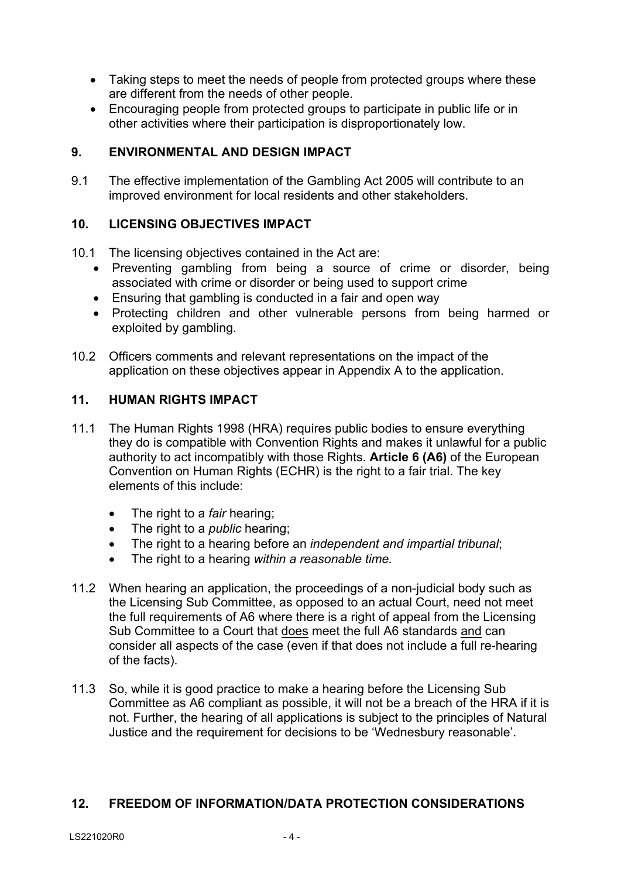- Taking steps to meet the needs of people from protected groups where these are different from the needs of other people.
- Encouraging people from protected groups to participate in public life or in other activities where their participation is disproportionately low.

### **9. ENVIRONMENTAL AND DESIGN IMPACT**

9.1 The effective implementation of the Gambling Act 2005 will contribute to an improved environment for local residents and other stakeholders.

### **10. LICENSING OBJECTIVES IMPACT**

- 10.1 The licensing objectives contained in the Act are:
	- Preventing gambling from being a source of crime or disorder, being associated with crime or disorder or being used to support crime
	- Ensuring that gambling is conducted in a fair and open way
	- Protecting children and other vulnerable persons from being harmed or exploited by gambling.
- 10.2 Officers comments and relevant representations on the impact of the application on these objectives appear in Appendix A to the application.

#### **11. HUMAN RIGHTS IMPACT**

- 11.1 The Human Rights 1998 (HRA) requires public bodies to ensure everything they do is compatible with Convention Rights and makes it unlawful for a public authority to act incompatibly with those Rights. **Article 6 (A6)** of the European Convention on Human Rights (ECHR) is the right to a fair trial. The key elements of this include:
	- The right to a *fair* hearing;
	- The right to a *public* hearing;
	- The right to a hearing before an *independent and impartial tribunal*;
	- The right to a hearing *within a reasonable time.*
- 11.2 When hearing an application, the proceedings of a non-judicial body such as the Licensing Sub Committee, as opposed to an actual Court, need not meet the full requirements of A6 where there is a right of appeal from the Licensing Sub Committee to a Court that does meet the full A6 standards and can consider all aspects of the case (even if that does not include a full re-hearing of the facts).
- 11.3 So, while it is good practice to make a hearing before the Licensing Sub Committee as A6 compliant as possible, it will not be a breach of the HRA if it is not. Further, the hearing of all applications is subject to the principles of Natural Justice and the requirement for decisions to be 'Wednesbury reasonable'.

#### **12. FREEDOM OF INFORMATION/DATA PROTECTION CONSIDERATIONS**